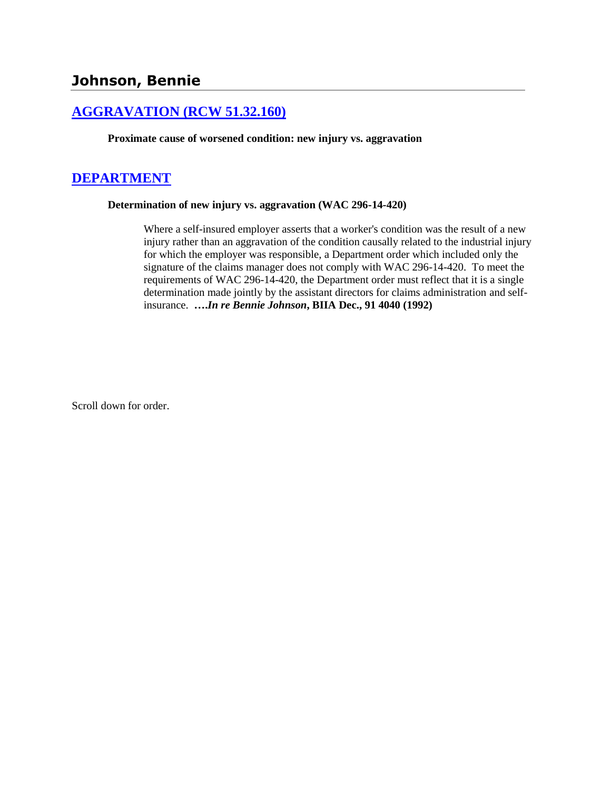# **[AGGRAVATION \(RCW 51.32.160\)](http://www.biia.wa.gov/SDSubjectIndex.html#AGGRAVATION)**

**Proximate cause of worsened condition: new injury vs. aggravation**

## **[DEPARTMENT](http://www.biia.wa.gov/SDSubjectIndex.html#DEPARTMENT)**

#### **Determination of new injury vs. aggravation (WAC 296-14-420)**

Where a self-insured employer asserts that a worker's condition was the result of a new injury rather than an aggravation of the condition causally related to the industrial injury for which the employer was responsible, a Department order which included only the signature of the claims manager does not comply with WAC 296-14-420. To meet the requirements of WAC 296-14-420, the Department order must reflect that it is a single determination made jointly by the assistant directors for claims administration and selfinsurance. **….***In re Bennie Johnson***, BIIA Dec., 91 4040 (1992)** 

Scroll down for order.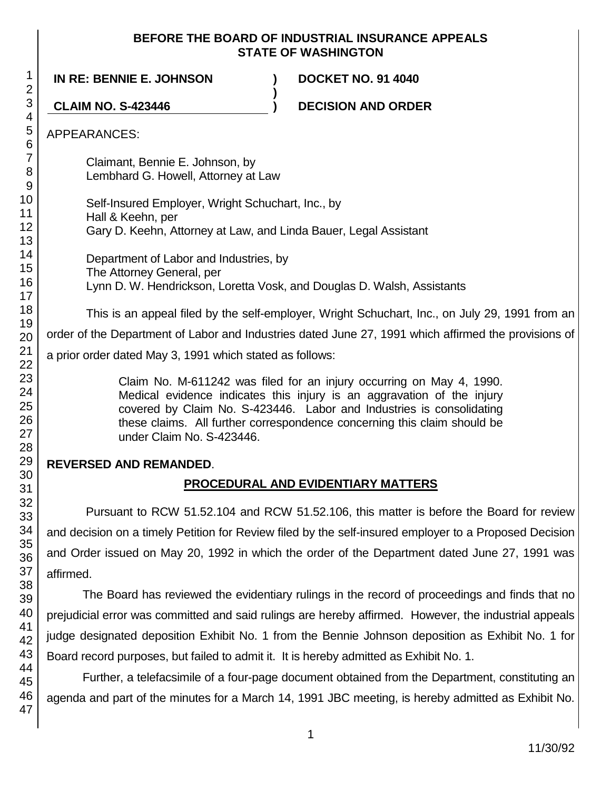#### **BEFORE THE BOARD OF INDUSTRIAL INSURANCE APPEALS STATE OF WASHINGTON**

**IN RE: BENNIE E. JOHNSON ) DOCKET NO. 91 4040 ) CLAIM NO. S-423446 ) DECISION AND ORDER** APPEARANCES: Claimant, Bennie E. Johnson, by Lembhard G. Howell, Attorney at Law Self-Insured Employer, Wright Schuchart, Inc., by Hall & Keehn, per Gary D. Keehn, Attorney at Law, and Linda Bauer, Legal Assistant Department of Labor and Industries, by The Attorney General, per Lynn D. W. Hendrickson, Loretta Vosk, and Douglas D. Walsh, Assistants This is an appeal filed by the self-employer, Wright Schuchart, Inc., on July 29, 1991 from an order of the Department of Labor and Industries dated June 27, 1991 which affirmed the provisions of a prior order dated May 3, 1991 which stated as follows: Claim No. M-611242 was filed for an injury occurring on May 4, 1990. Medical evidence indicates this injury is an aggravation of the injury covered by Claim No. S-423446. Labor and Industries is consolidating these claims. All further correspondence concerning this claim should be under Claim No. S-423446. **REVERSED AND REMANDED**. **PROCEDURAL AND EVIDENTIARY MATTERS** Pursuant to RCW 51.52.104 and RCW 51.52.106, this matter is before the Board for review

and decision on a timely Petition for Review filed by the self-insured employer to a Proposed Decision and Order issued on May 20, 1992 in which the order of the Department dated June 27, 1991 was affirmed.

The Board has reviewed the evidentiary rulings in the record of proceedings and finds that no prejudicial error was committed and said rulings are hereby affirmed. However, the industrial appeals judge designated deposition Exhibit No. 1 from the Bennie Johnson deposition as Exhibit No. 1 for Board record purposes, but failed to admit it. It is hereby admitted as Exhibit No. 1.

Further, a telefacsimile of a four-page document obtained from the Department, constituting an agenda and part of the minutes for a March 14, 1991 JBC meeting, is hereby admitted as Exhibit No.

1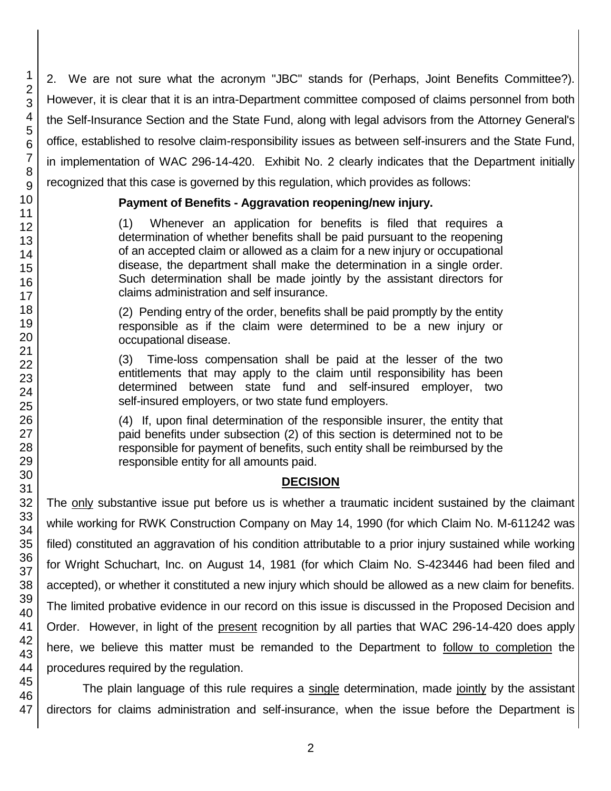2. We are not sure what the acronym "JBC" stands for (Perhaps, Joint Benefits Committee?). However, it is clear that it is an intra-Department committee composed of claims personnel from both the Self-Insurance Section and the State Fund, along with legal advisors from the Attorney General's office, established to resolve claim-responsibility issues as between self-insurers and the State Fund, in implementation of WAC 296-14-420. Exhibit No. 2 clearly indicates that the Department initially recognized that this case is governed by this regulation, which provides as follows:

#### **Payment of Benefits - Aggravation reopening/new injury.**

(1) Whenever an application for benefits is filed that requires a determination of whether benefits shall be paid pursuant to the reopening of an accepted claim or allowed as a claim for a new injury or occupational disease, the department shall make the determination in a single order. Such determination shall be made jointly by the assistant directors for claims administration and self insurance.

(2) Pending entry of the order, benefits shall be paid promptly by the entity responsible as if the claim were determined to be a new injury or occupational disease.

(3) Time-loss compensation shall be paid at the lesser of the two entitlements that may apply to the claim until responsibility has been determined between state fund and self-insured employer, two self-insured employers, or two state fund employers.

(4) If, upon final determination of the responsible insurer, the entity that paid benefits under subsection (2) of this section is determined not to be responsible for payment of benefits, such entity shall be reimbursed by the responsible entity for all amounts paid.

## **DECISION**

The only substantive issue put before us is whether a traumatic incident sustained by the claimant while working for RWK Construction Company on May 14, 1990 (for which Claim No. M-611242 was filed) constituted an aggravation of his condition attributable to a prior injury sustained while working for Wright Schuchart, Inc. on August 14, 1981 (for which Claim No. S-423446 had been filed and accepted), or whether it constituted a new injury which should be allowed as a new claim for benefits. The limited probative evidence in our record on this issue is discussed in the Proposed Decision and Order. However, in light of the present recognition by all parties that WAC 296-14-420 does apply here, we believe this matter must be remanded to the Department to follow to completion the procedures required by the regulation.

The plain language of this rule requires a single determination, made jointly by the assistant directors for claims administration and self-insurance, when the issue before the Department is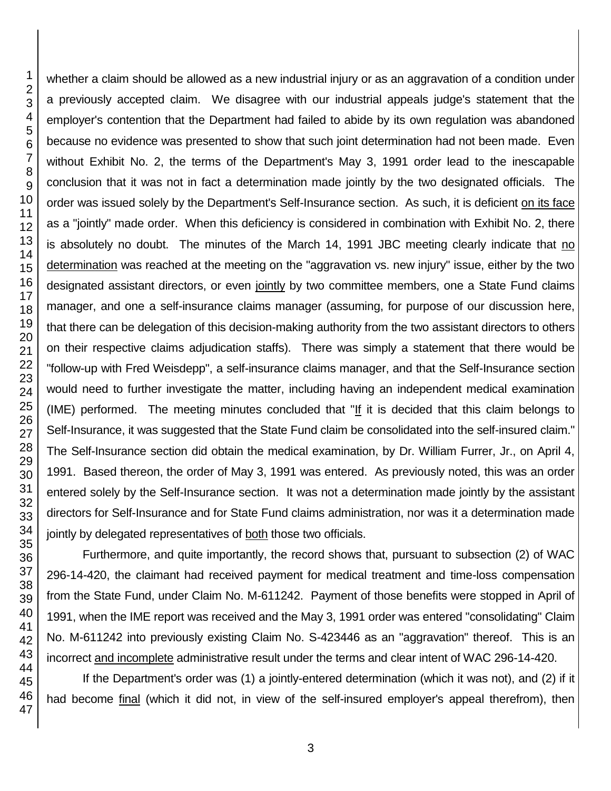whether a claim should be allowed as a new industrial injury or as an aggravation of a condition under a previously accepted claim. We disagree with our industrial appeals judge's statement that the employer's contention that the Department had failed to abide by its own regulation was abandoned because no evidence was presented to show that such joint determination had not been made. Even without Exhibit No. 2, the terms of the Department's May 3, 1991 order lead to the inescapable conclusion that it was not in fact a determination made jointly by the two designated officials. The order was issued solely by the Department's Self-Insurance section. As such, it is deficient on its face as a "jointly" made order. When this deficiency is considered in combination with Exhibit No. 2, there is absolutely no doubt. The minutes of the March 14, 1991 JBC meeting clearly indicate that no determination was reached at the meeting on the "aggravation vs. new injury" issue, either by the two designated assistant directors, or even jointly by two committee members, one a State Fund claims manager, and one a self-insurance claims manager (assuming, for purpose of our discussion here, that there can be delegation of this decision-making authority from the two assistant directors to others on their respective claims adjudication staffs). There was simply a statement that there would be "follow-up with Fred Weisdepp", a self-insurance claims manager, and that the Self-Insurance section would need to further investigate the matter, including having an independent medical examination (IME) performed. The meeting minutes concluded that "If it is decided that this claim belongs to Self-Insurance, it was suggested that the State Fund claim be consolidated into the self-insured claim." The Self-Insurance section did obtain the medical examination, by Dr. William Furrer, Jr., on April 4, 1991. Based thereon, the order of May 3, 1991 was entered. As previously noted, this was an order entered solely by the Self-Insurance section. It was not a determination made jointly by the assistant directors for Self-Insurance and for State Fund claims administration, nor was it a determination made jointly by delegated representatives of both those two officials.

Furthermore, and quite importantly, the record shows that, pursuant to subsection (2) of WAC 296-14-420, the claimant had received payment for medical treatment and time-loss compensation from the State Fund, under Claim No. M-611242. Payment of those benefits were stopped in April of 1991, when the IME report was received and the May 3, 1991 order was entered "consolidating" Claim No. M-611242 into previously existing Claim No. S-423446 as an "aggravation" thereof. This is an incorrect and incomplete administrative result under the terms and clear intent of WAC 296-14-420.

If the Department's order was (1) a jointly-entered determination (which it was not), and (2) if it had become final (which it did not, in view of the self-insured employer's appeal therefrom), then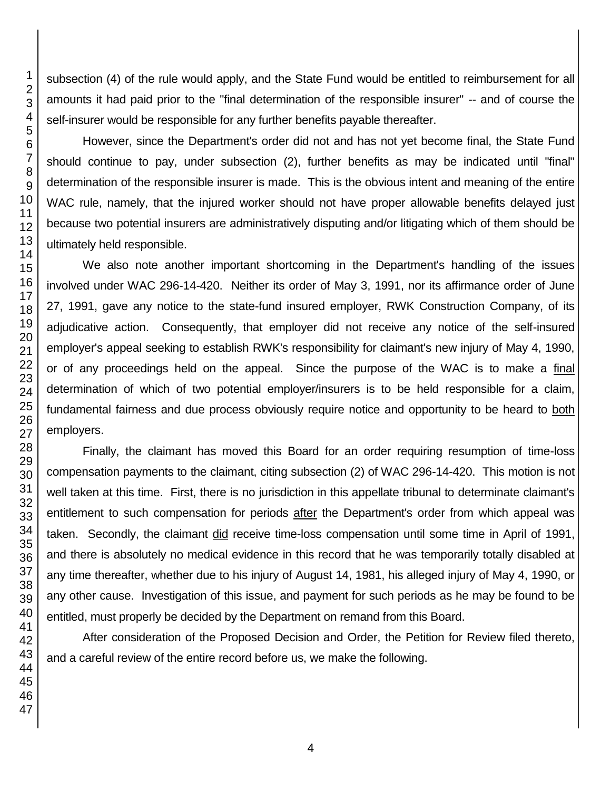subsection (4) of the rule would apply, and the State Fund would be entitled to reimbursement for all amounts it had paid prior to the "final determination of the responsible insurer" -- and of course the self-insurer would be responsible for any further benefits payable thereafter.

However, since the Department's order did not and has not yet become final, the State Fund should continue to pay, under subsection (2), further benefits as may be indicated until "final" determination of the responsible insurer is made. This is the obvious intent and meaning of the entire WAC rule, namely, that the injured worker should not have proper allowable benefits delayed just because two potential insurers are administratively disputing and/or litigating which of them should be ultimately held responsible.

We also note another important shortcoming in the Department's handling of the issues involved under WAC 296-14-420. Neither its order of May 3, 1991, nor its affirmance order of June 27, 1991, gave any notice to the state-fund insured employer, RWK Construction Company, of its adjudicative action. Consequently, that employer did not receive any notice of the self-insured employer's appeal seeking to establish RWK's responsibility for claimant's new injury of May 4, 1990, or of any proceedings held on the appeal. Since the purpose of the WAC is to make a final determination of which of two potential employer/insurers is to be held responsible for a claim, fundamental fairness and due process obviously require notice and opportunity to be heard to both employers.

Finally, the claimant has moved this Board for an order requiring resumption of time-loss compensation payments to the claimant, citing subsection (2) of WAC 296-14-420. This motion is not well taken at this time. First, there is no jurisdiction in this appellate tribunal to determinate claimant's entitlement to such compensation for periods after the Department's order from which appeal was taken. Secondly, the claimant did receive time-loss compensation until some time in April of 1991, and there is absolutely no medical evidence in this record that he was temporarily totally disabled at any time thereafter, whether due to his injury of August 14, 1981, his alleged injury of May 4, 1990, or any other cause. Investigation of this issue, and payment for such periods as he may be found to be entitled, must properly be decided by the Department on remand from this Board.

After consideration of the Proposed Decision and Order, the Petition for Review filed thereto, and a careful review of the entire record before us, we make the following.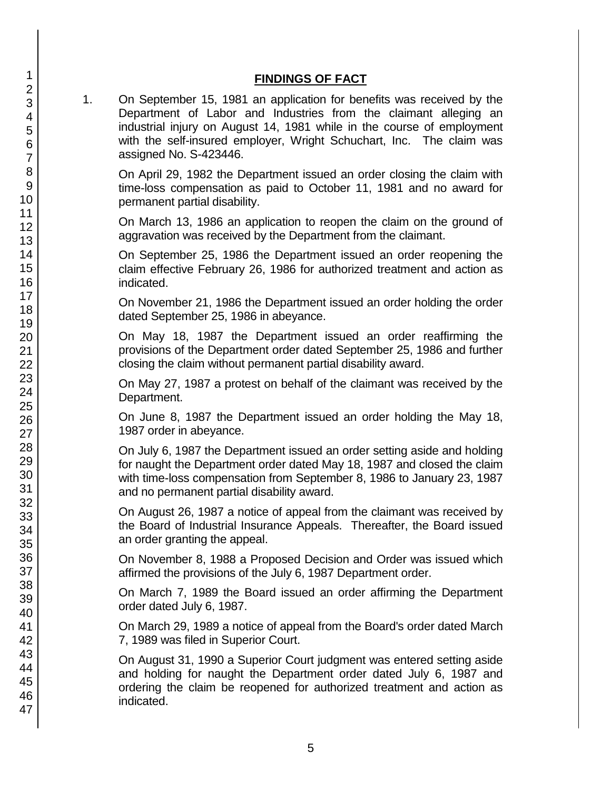#### **FINDINGS OF FACT**

1. On September 15, 1981 an application for benefits was received by the Department of Labor and Industries from the claimant alleging an industrial injury on August 14, 1981 while in the course of employment with the self-insured employer, Wright Schuchart, Inc. The claim was assigned No. S-423446.

On April 29, 1982 the Department issued an order closing the claim with time-loss compensation as paid to October 11, 1981 and no award for permanent partial disability.

On March 13, 1986 an application to reopen the claim on the ground of aggravation was received by the Department from the claimant.

On September 25, 1986 the Department issued an order reopening the claim effective February 26, 1986 for authorized treatment and action as indicated.

On November 21, 1986 the Department issued an order holding the order dated September 25, 1986 in abeyance.

On May 18, 1987 the Department issued an order reaffirming the provisions of the Department order dated September 25, 1986 and further closing the claim without permanent partial disability award.

On May 27, 1987 a protest on behalf of the claimant was received by the Department.

On June 8, 1987 the Department issued an order holding the May 18, 1987 order in abeyance.

On July 6, 1987 the Department issued an order setting aside and holding for naught the Department order dated May 18, 1987 and closed the claim with time-loss compensation from September 8, 1986 to January 23, 1987 and no permanent partial disability award.

On August 26, 1987 a notice of appeal from the claimant was received by the Board of Industrial Insurance Appeals. Thereafter, the Board issued an order granting the appeal.

On November 8, 1988 a Proposed Decision and Order was issued which affirmed the provisions of the July 6, 1987 Department order.

On March 7, 1989 the Board issued an order affirming the Department order dated July 6, 1987.

On March 29, 1989 a notice of appeal from the Board's order dated March 7, 1989 was filed in Superior Court.

On August 31, 1990 a Superior Court judgment was entered setting aside and holding for naught the Department order dated July 6, 1987 and ordering the claim be reopened for authorized treatment and action as indicated.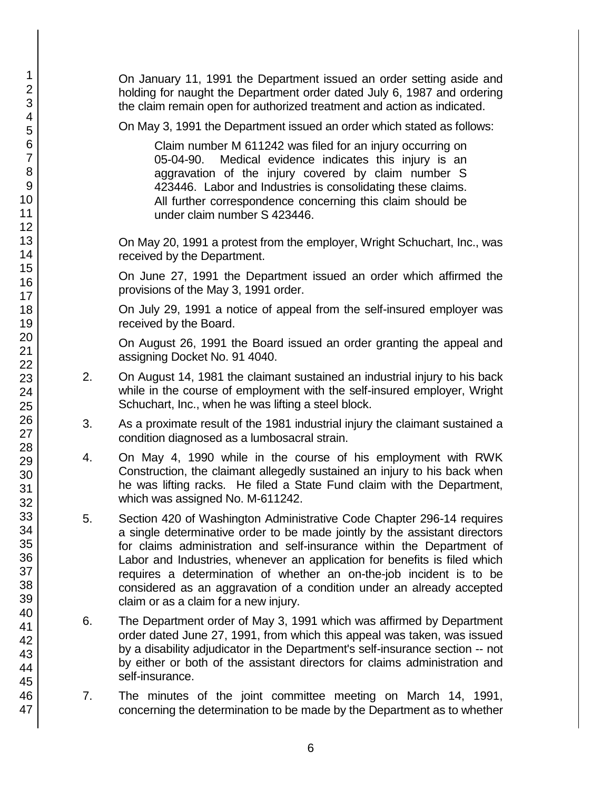On January 11, 1991 the Department issued an order setting aside and holding for naught the Department order dated July 6, 1987 and ordering the claim remain open for authorized treatment and action as indicated.

On May 3, 1991 the Department issued an order which stated as follows:

Claim number M 611242 was filed for an injury occurring on 05-04-90. Medical evidence indicates this injury is an aggravation of the injury covered by claim number S 423446. Labor and Industries is consolidating these claims. All further correspondence concerning this claim should be under claim number S 423446.

On May 20, 1991 a protest from the employer, Wright Schuchart, Inc., was received by the Department.

On June 27, 1991 the Department issued an order which affirmed the provisions of the May 3, 1991 order.

On July 29, 1991 a notice of appeal from the self-insured employer was received by the Board.

On August 26, 1991 the Board issued an order granting the appeal and assigning Docket No. 91 4040.

- 2. On August 14, 1981 the claimant sustained an industrial injury to his back while in the course of employment with the self-insured employer, Wright Schuchart, Inc., when he was lifting a steel block.
- 3. As a proximate result of the 1981 industrial injury the claimant sustained a condition diagnosed as a lumbosacral strain.
- 4. On May 4, 1990 while in the course of his employment with RWK Construction, the claimant allegedly sustained an injury to his back when he was lifting racks. He filed a State Fund claim with the Department, which was assigned No. M-611242.
- 5. Section 420 of Washington Administrative Code Chapter 296-14 requires a single determinative order to be made jointly by the assistant directors for claims administration and self-insurance within the Department of Labor and Industries, whenever an application for benefits is filed which requires a determination of whether an on-the-job incident is to be considered as an aggravation of a condition under an already accepted claim or as a claim for a new injury.
- 6. The Department order of May 3, 1991 which was affirmed by Department order dated June 27, 1991, from which this appeal was taken, was issued by a disability adjudicator in the Department's self-insurance section -- not by either or both of the assistant directors for claims administration and self-insurance.
- 7. The minutes of the joint committee meeting on March 14, 1991, concerning the determination to be made by the Department as to whether

47